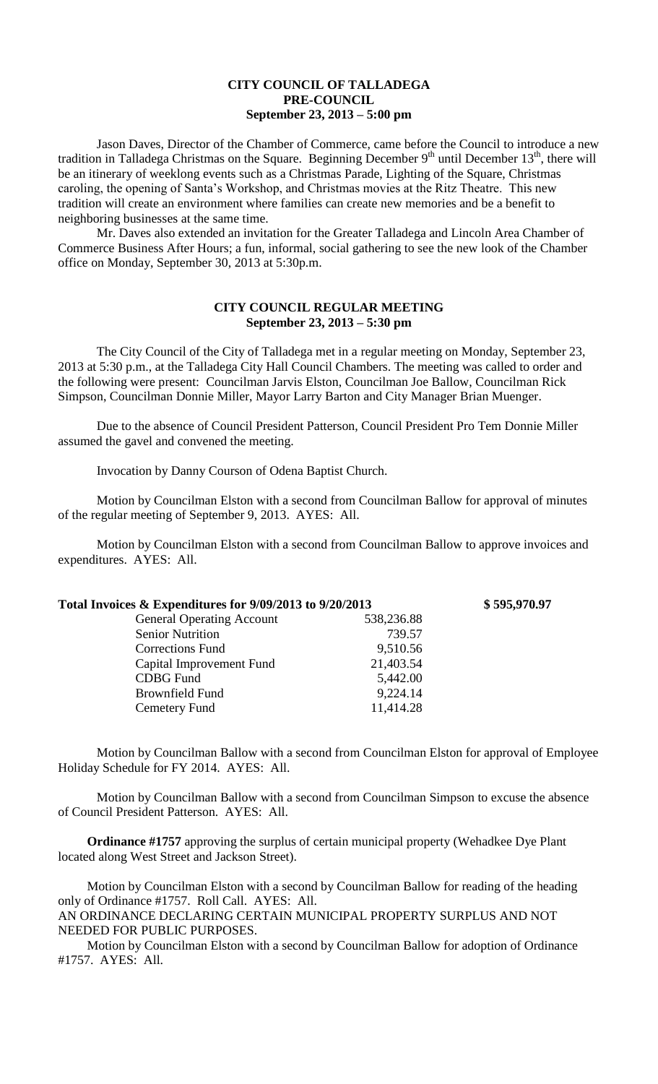## **CITY COUNCIL OF TALLADEGA PRE-COUNCIL September 23, 2013 – 5:00 pm**

Jason Daves, Director of the Chamber of Commerce, came before the Council to introduce a new tradition in Talladega Christmas on the Square. Beginning December  $9<sup>th</sup>$  until December 13<sup>th</sup>, there will be an itinerary of weeklong events such as a Christmas Parade, Lighting of the Square, Christmas caroling, the opening of Santa's Workshop, and Christmas movies at the Ritz Theatre. This new tradition will create an environment where families can create new memories and be a benefit to neighboring businesses at the same time.

Mr. Daves also extended an invitation for the Greater Talladega and Lincoln Area Chamber of Commerce Business After Hours; a fun, informal, social gathering to see the new look of the Chamber office on Monday, September 30, 2013 at 5:30p.m.

## **CITY COUNCIL REGULAR MEETING September 23, 2013 – 5:30 pm**

The City Council of the City of Talladega met in a regular meeting on Monday, September 23, 2013 at 5:30 p.m., at the Talladega City Hall Council Chambers. The meeting was called to order and the following were present: Councilman Jarvis Elston, Councilman Joe Ballow, Councilman Rick Simpson, Councilman Donnie Miller, Mayor Larry Barton and City Manager Brian Muenger.

Due to the absence of Council President Patterson, Council President Pro Tem Donnie Miller assumed the gavel and convened the meeting.

Invocation by Danny Courson of Odena Baptist Church.

Motion by Councilman Elston with a second from Councilman Ballow for approval of minutes of the regular meeting of September 9, 2013. AYES: All.

Motion by Councilman Elston with a second from Councilman Ballow to approve invoices and expenditures. AYES: All.

| Total Invoices & Expenditures for 9/09/2013 to 9/20/2013 |            | \$595,970.97 |
|----------------------------------------------------------|------------|--------------|
| <b>General Operating Account</b>                         | 538,236.88 |              |
| <b>Senior Nutrition</b>                                  | 739.57     |              |
| <b>Corrections Fund</b>                                  | 9,510.56   |              |
| Capital Improvement Fund                                 | 21,403.54  |              |
| <b>CDBG</b> Fund                                         | 5,442.00   |              |
| <b>Brownfield Fund</b>                                   | 9,224.14   |              |
| Cemetery Fund                                            | 11,414.28  |              |
|                                                          |            |              |

Motion by Councilman Ballow with a second from Councilman Elston for approval of Employee Holiday Schedule for FY 2014. AYES: All.

Motion by Councilman Ballow with a second from Councilman Simpson to excuse the absence of Council President Patterson. AYES: All.

**Ordinance #1757** approving the surplus of certain municipal property (Wehadkee Dye Plant located along West Street and Jackson Street).

Motion by Councilman Elston with a second by Councilman Ballow for reading of the heading only of Ordinance #1757. Roll Call. AYES: All.

AN ORDINANCE DECLARING CERTAIN MUNICIPAL PROPERTY SURPLUS AND NOT NEEDED FOR PUBLIC PURPOSES.

Motion by Councilman Elston with a second by Councilman Ballow for adoption of Ordinance #1757. AYES: All.